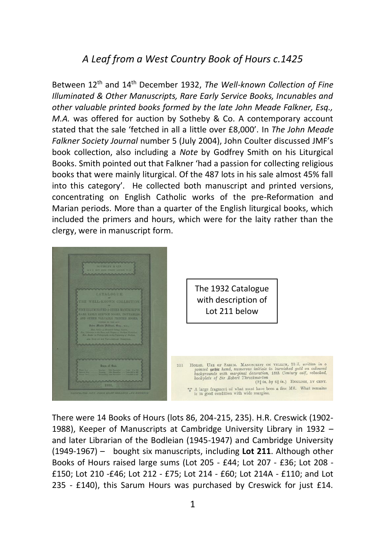## *A Leaf from a West Country Book of Hours c.1425*

Between 12th and 14th December 1932, *The Well-known Collection of Fine Illuminated & Other Manuscripts, Rare Early Service Books, Incunables and other valuable printed books formed by the late John Meade Falkner, Esq., M.A.* was offered for auction by Sotheby & Co. A contemporary account stated that the sale 'fetched in all a little over £8,000'. In *The John Meade Falkner Society Journal* number 5 (July 2004), John Coulter discussed JMF's book collection, also including a *Note* by Godfrey Smith on his Liturgical Books. Smith pointed out that Falkner 'had a passion for collecting religious books that were mainly liturgical. Of the 487 lots in his sale almost 45% fall into this category'. He collected both manuscript and printed versions, concentrating on English Catholic works of the pre-Reformation and Marian periods. More than a quarter of the English liturgical books, which included the primers and hours, which were for the laity rather than the clergy, were in manuscript form.



There were 14 Books of Hours (lots 86, 204-215, 235). H.R. Creswick (1902- 1988), Keeper of Manuscripts at Cambridge University Library in 1932 – and later Librarian of the Bodleian (1945-1947) and Cambridge University (1949-1967) – bought six manuscripts, including **Lot 211**. Although other Books of Hours raised large sums (Lot 205 - £44; Lot 207 - £36; Lot 208 - £150; Lot 210 -£46; Lot 212 - £75; Lot 214 - £60; Lot 214A - £110; and Lot 235 - £140), this Sarum Hours was purchased by Creswick for just £14.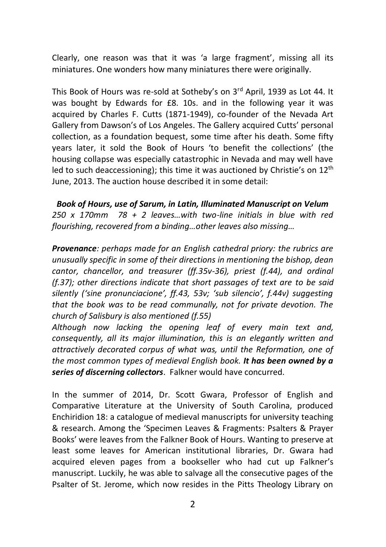Clearly, one reason was that it was 'a large fragment', missing all its miniatures. One wonders how many miniatures there were originally.

This Book of Hours was re-sold at Sotheby's on 3<sup>rd</sup> April, 1939 as Lot 44. It was bought by Edwards for £8. 10s. and in the following year it was acquired by Charles F. Cutts (1871-1949), co-founder of the Nevada Art Gallery from Dawson's of Los Angeles. The Gallery acquired Cutts' personal collection, as a foundation bequest, some time after his death. Some fifty years later, it sold the Book of Hours 'to benefit the collections' (the housing collapse was especially catastrophic in Nevada and may well have led to such deaccessioning); this time it was auctioned by Christie's on  $12<sup>th</sup>$ June, 2013. The auction house described it in some detail:

*Book of Hours, use of Sarum, in Latin, Illuminated Manuscript on Velum 250 x 170mm 78 + 2 leaves…with two-line initials in blue with red flourishing, recovered from a binding…other leaves also missing…*

*Provenance: perhaps made for an English cathedral priory: the rubrics are unusually specific in some of their directions in mentioning the bishop, dean cantor, chancellor, and treasurer (ff.35v-36), priest (f.44), and ordinal (f.37); other directions indicate that short passages of text are to be said silently ('sine pronunciacione', ff.43, 53v; 'sub silencio', f.44v) suggesting that the book was to be read communally, not for private devotion. The church of Salisbury is also mentioned (f.55)* 

*Although now lacking the opening leaf of every main text and, consequently, all its major illumination, this is an elegantly written and attractively decorated corpus of what was, until the Reformation, one of the most common types of medieval English book. It has been owned by a series of discerning collectors*. Falkner would have concurred.

In the summer of 2014, Dr. Scott Gwara, Professor of English and Comparative Literature at the University of South Carolina, produced Enchiridion 18: a catalogue of medieval manuscripts for university teaching & research. Among the 'Specimen Leaves & Fragments: Psalters & Prayer Books' were leaves from the Falkner Book of Hours. Wanting to preserve at least some leaves for American institutional libraries, Dr. Gwara had acquired eleven pages from a bookseller who had cut up Falkner's manuscript. Luckily, he was able to salvage all the consecutive pages of the Psalter of St. Jerome, which now resides in the Pitts Theology Library on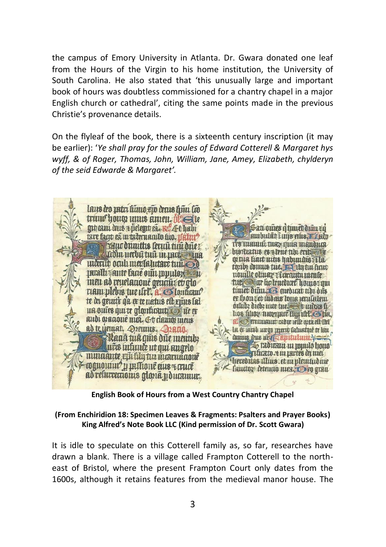the campus of Emory University in Atlanta. Dr. Gwara donated one leaf from the Hours of the Virgin to his home institution, the University of South Carolina. He also stated that 'this unusually large and important book of hours was doubtless commissioned for a chantry chapel in a major English church or cathedral', citing the same points made in the previous Christie's provenance details.

On the flyleaf of the book, there is a sixteenth century inscription (it may be earlier): '*Ye shall pray for the soules of Edward Cotterell & Margaret hys wyff, & of Roger, Thomas, John, William, Jane, Amey, Elizabeth, chylderyn of the seid Edwarde & Margaret'.*



**English Book of Hours from a West Country Chantry Chapel**

## **(From Enchiridion 18: Specimen Leaves & Fragments: Psalters and Prayer Books) King Alfred's Note Book LLC (Kind permission of Dr. Scott Gwara)**

It is idle to speculate on this Cotterell family as, so far, researches have drawn a blank. There is a village called Frampton Cotterell to the northeast of Bristol, where the present Frampton Court only dates from the 1600s, although it retains features from the medieval manor house. The